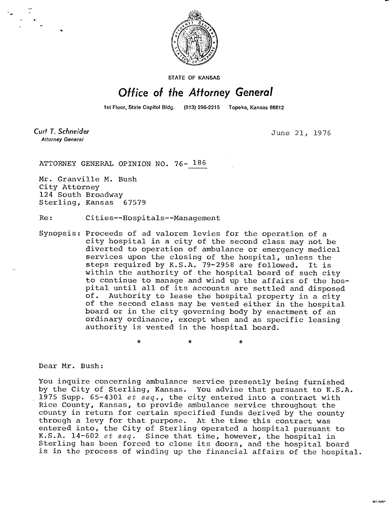

STATE OF KANSAS

## Office of the Attorney General

1st Floor, State Capitol Bidg. (913) 296-2215 Topeka, Kansas 66612

Curt T. Schneider **Attorney General** 

June 21, 1976

MILto47

ATTORNEY GENERAL OPINION NO. 76- 186

Mr. Granville M. Bush City Attorney 124 South Broadway Sterling, Kansas 67579

Re: Cities--Hospitals--Management

Synopsis: Proceeds of ad valorem levies for the operation of a city hospital in a city of the second class may not be diverted to operation of ambulance or emergency medical services upon the closing of the hospital, unless the steps required by K.S.A. 79-2958 are followed. It is within the authority of the hospital board of such city to continue to manage and wind up the affairs of the hospital until all of its accounts are settled and disposed of. Authority to lease the hospital property in a city of the second class may be vested either in the hospital board or in the city governing body by enactment of an ordinary ordinance, except when and as specific leasing authority is vested in the hospital board.

 $\ddot{\phantom{a}}$ 

 $\star$ 

 $\ddot{\textbf{r}}$ 

Dear Mr. Bush:

You inquire concerning ambulance service presently being furnished by the City of Sterling, Kansas. You advise that pursuant to K.S.A. 1975 Supp.  $65-4301$  et seq., the city entered into a contract with Rice County, Kansas, to provide ambulance service throughout the county in return for certain specified funds derived by the county through a levy for that purpose. At the time this contract was entered into, the City of Sterling operated a hospital pursuant to K.S.A. 14-602 et seq. Since that time, however, the hospital in Sterling has been forced to close its doors, and the hospital board is in the process of winding up the financial affairs of the hospital.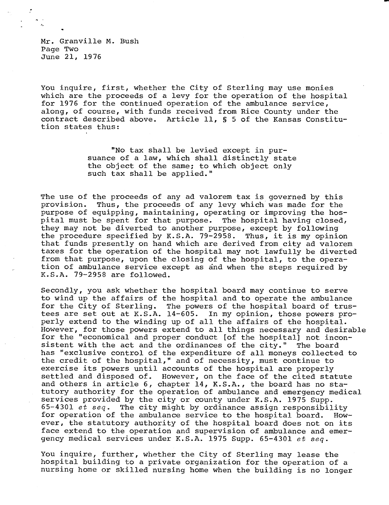Mr. Granville M. Bush Page Two June 21, 1976

You inquire, first, whether the City of Sterling may use monies which are the proceeds of a levy for the operation of the hospital for 1976 for the continued operation of the ambulance service, along, of course, with funds received from Rice County under the contract described above. Article 11, § 5 of the Kansas Constitution states thus:

> "No tax shall be levied except in pursuance of a law, which shall distinctly state the object of the same; to which object only such tax shall be applied."

The use of the proceeds of any ad valorem tax is governed by this provision. Thus, the proceeds of any levy which was made for the purpose of equipping, maintaining, operating or improving the hospital must be spent for that purpose. The hospital having closed, they may not be diverted to another purpose, except by following the procedure specified by K.S.A. 79-2958. Thus, it is my opinion that funds presently on hand which are derived from city ad valorem taxes for the operation of the hospital may not lawfully be diverted from that purpose, upon the closing of the hospital, to the operation of ambulance service except as and when the steps required by K.S.A. 79-2958 are followed.

Secondly, you ask whether the hospital board may continue to serve to wind up the affairs of the hospital and to operate the ambulance<br>for the City of Sterling. The powers of the hospital board of trusfor the City of Sterling. The powers of the hospital board of trustees are set out at K.S.A. 14-605. In my opinion, those powers properly extend to the winding up of all the affairs of the hospital. However, for those powers extend to all things necessary and desirable for the "economical and proper conduct [of the hospital] not inconsistent with the act and the ordinances of the city." The board has "exclusive control of the expenditure of all moneys collected to the credit of the hospital," and of necessity, must continue to exercise its powers until accounts of the hospital are properly settled and disposed of. However, on the face of the cited statute and others in article 6, chapter 14, K.S.A., the board has no statutory authority for the operation of ambulance and emergency medical services provided by the city or county under K.S.A. 1975 Supp. 65-4301  $et$   $seq$ . The city might by ordinance assign responsibility for operation of the ambulance service to the hospital board. However, the statutory authority of the hospital board does not on its face extend to the operation and supervision of ambulance and emergency medical services under K.S.A. 1975 Supp. 65-4301 et seq.

You inquire, further, whether the City of Sterling may lease the hospital building to a private organization for the operation of a nursing home or skilled nursing home when the building is no longer